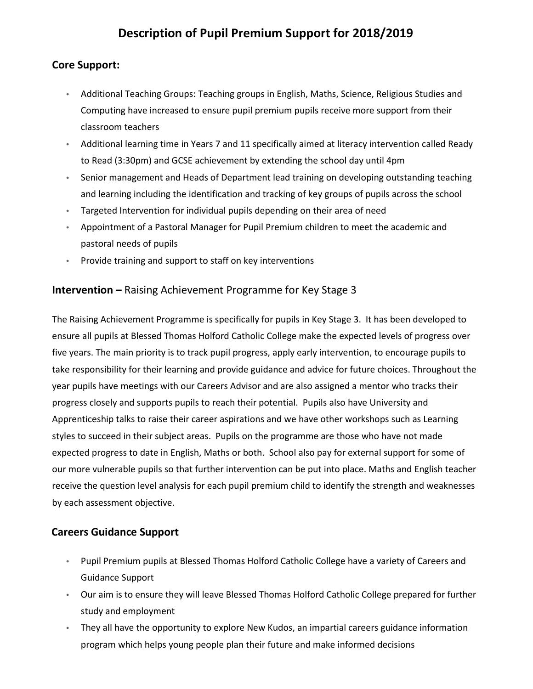# **Description of Pupil Premium Support for 2018/2019**

#### **Core Support:**

- Additional Teaching Groups: Teaching groups in English, Maths, Science, Religious Studies and Computing have increased to ensure pupil premium pupils receive more support from their classroom teachers
- Additional learning time in Years 7 and 11 specifically aimed at literacy intervention called Ready to Read (3:30pm) and GCSE achievement by extending the school day until 4pm
- Senior management and Heads of Department lead training on developing outstanding teaching and learning including the identification and tracking of key groups of pupils across the school
- Targeted Intervention for individual pupils depending on their area of need
- Appointment of a Pastoral Manager for Pupil Premium children to meet the academic and pastoral needs of pupils
- Provide training and support to staff on key interventions

#### **Intervention –** Raising Achievement Programme for Key Stage 3

The Raising Achievement Programme is specifically for pupils in Key Stage 3. It has been developed to ensure all pupils at Blessed Thomas Holford Catholic College make the expected levels of progress over five years. The main priority is to track pupil progress, apply early intervention, to encourage pupils to take responsibility for their learning and provide guidance and advice for future choices. Throughout the year pupils have meetings with our Careers Advisor and are also assigned a mentor who tracks their progress closely and supports pupils to reach their potential. Pupils also have University and Apprenticeship talks to raise their career aspirations and we have other workshops such as Learning styles to succeed in their subject areas. Pupils on the programme are those who have not made expected progress to date in English, Maths or both. School also pay for external support for some of our more vulnerable pupils so that further intervention can be put into place. Maths and English teacher receive the question level analysis for each pupil premium child to identify the strength and weaknesses by each assessment objective.

#### **Careers Guidance Support**

- Pupil Premium pupils at Blessed Thomas Holford Catholic College have a variety of Careers and Guidance Support
- Our aim is to ensure they will leave Blessed Thomas Holford Catholic College prepared for further study and employment
- They all have the opportunity to explore New Kudos, an impartial careers guidance information program which helps young people plan their future and make informed decisions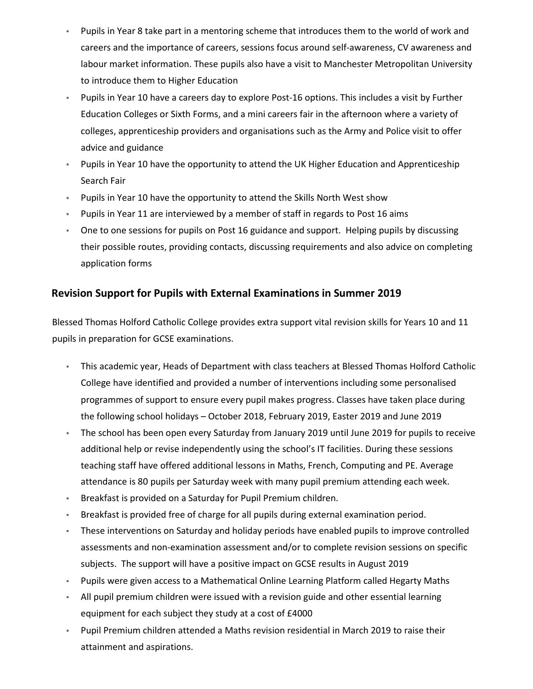- Pupils in Year 8 take part in a mentoring scheme that introduces them to the world of work and careers and the importance of careers, sessions focus around self‐awareness, CV awareness and labour market information. These pupils also have a visit to Manchester Metropolitan University to introduce them to Higher Education
- Pupils in Year 10 have a careers day to explore Post‐16 options. This includes a visit by Further Education Colleges or Sixth Forms, and a mini careers fair in the afternoon where a variety of colleges, apprenticeship providers and organisations such as the Army and Police visit to offer advice and guidance
- Pupils in Year 10 have the opportunity to attend the UK Higher Education and Apprenticeship Search Fair
- Pupils in Year 10 have the opportunity to attend the Skills North West show
- Pupils in Year 11 are interviewed by a member of staff in regards to Post 16 aims
- One to one sessions for pupils on Post 16 guidance and support. Helping pupils by discussing their possible routes, providing contacts, discussing requirements and also advice on completing application forms

#### **Revision Support for Pupils with External Examinations in Summer 2019**

Blessed Thomas Holford Catholic College provides extra support vital revision skills for Years 10 and 11 pupils in preparation for GCSE examinations.

- This academic year, Heads of Department with class teachers at Blessed Thomas Holford Catholic College have identified and provided a number of interventions including some personalised programmes of support to ensure every pupil makes progress. Classes have taken place during the following school holidays – October 2018, February 2019, Easter 2019 and June 2019
- The school has been open every Saturday from January 2019 until June 2019 for pupils to receive additional help or revise independently using the school's IT facilities. During these sessions teaching staff have offered additional lessons in Maths, French, Computing and PE. Average attendance is 80 pupils per Saturday week with many pupil premium attending each week.
- Breakfast is provided on a Saturday for Pupil Premium children.
- Breakfast is provided free of charge for all pupils during external examination period.
- These interventions on Saturday and holiday periods have enabled pupils to improve controlled assessments and non‐examination assessment and/or to complete revision sessions on specific subjects. The support will have a positive impact on GCSE results in August 2019
- Pupils were given access to a Mathematical Online Learning Platform called Hegarty Maths
- All pupil premium children were issued with a revision guide and other essential learning equipment for each subject they study at a cost of £4000
- Pupil Premium children attended a Maths revision residential in March 2019 to raise their attainment and aspirations.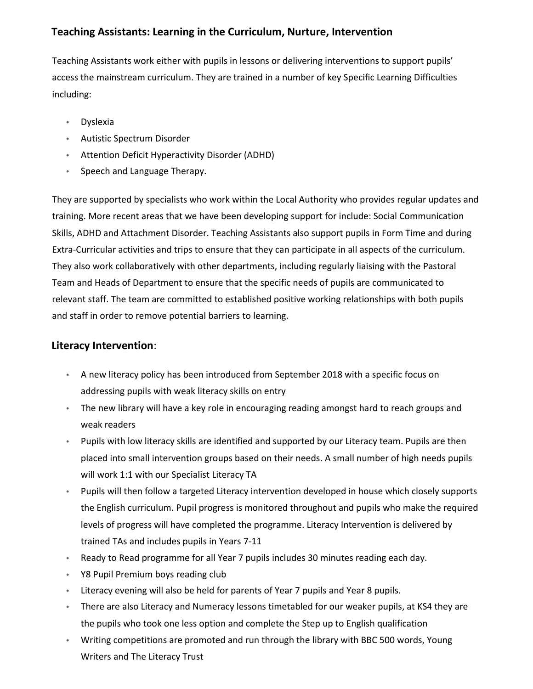## **Teaching Assistants: Learning in the Curriculum, Nurture, Intervention**

Teaching Assistants work either with pupils in lessons or delivering interventions to support pupils' access the mainstream curriculum. They are trained in a number of key Specific Learning Difficulties including:

- Dyslexia
- Autistic Spectrum Disorder
- Attention Deficit Hyperactivity Disorder (ADHD)
- Speech and Language Therapy.

They are supported by specialists who work within the Local Authority who provides regular updates and training. More recent areas that we have been developing support for include: Social Communication Skills, ADHD and Attachment Disorder. Teaching Assistants also support pupils in Form Time and during Extra‐Curricular activities and trips to ensure that they can participate in all aspects of the curriculum. They also work collaboratively with other departments, including regularly liaising with the Pastoral Team and Heads of Department to ensure that the specific needs of pupils are communicated to relevant staff. The team are committed to established positive working relationships with both pupils and staff in order to remove potential barriers to learning.

#### **Literacy Intervention**:

- A new literacy policy has been introduced from September 2018 with a specific focus on addressing pupils with weak literacy skills on entry
- The new library will have a key role in encouraging reading amongst hard to reach groups and weak readers
- Pupils with low literacy skills are identified and supported by our Literacy team. Pupils are then placed into small intervention groups based on their needs. A small number of high needs pupils will work 1:1 with our Specialist Literacy TA
- Pupils will then follow a targeted Literacy intervention developed in house which closely supports the English curriculum. Pupil progress is monitored throughout and pupils who make the required levels of progress will have completed the programme. Literacy Intervention is delivered by trained TAs and includes pupils in Years 7‐11
- Ready to Read programme for all Year 7 pupils includes 30 minutes reading each day.
- Y8 Pupil Premium boys reading club
- Literacy evening will also be held for parents of Year 7 pupils and Year 8 pupils.
- There are also Literacy and Numeracy lessons timetabled for our weaker pupils, at KS4 they are the pupils who took one less option and complete the Step up to English qualification
- Writing competitions are promoted and run through the library with BBC 500 words, Young Writers and The Literacy Trust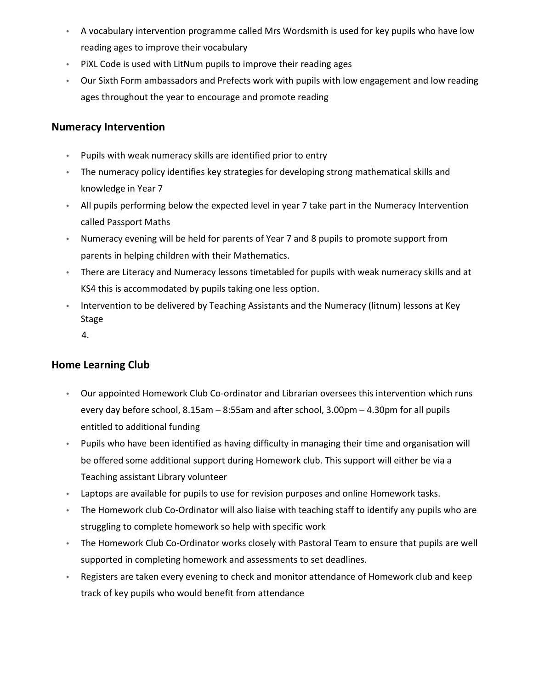- A vocabulary intervention programme called Mrs Wordsmith is used for key pupils who have low reading ages to improve their vocabulary
- PiXL Code is used with LitNum pupils to improve their reading ages
- Our Sixth Form ambassadors and Prefects work with pupils with low engagement and low reading ages throughout the year to encourage and promote reading

#### **Numeracy Intervention**

- Pupils with weak numeracy skills are identified prior to entry
- The numeracy policy identifies key strategies for developing strong mathematical skills and knowledge in Year 7
- All pupils performing below the expected level in year 7 take part in the Numeracy Intervention called Passport Maths
- Numeracy evening will be held for parents of Year 7 and 8 pupils to promote support from parents in helping children with their Mathematics.
- There are Literacy and Numeracy lessons timetabled for pupils with weak numeracy skills and at KS4 this is accommodated by pupils taking one less option.
- Intervention to be delivered by Teaching Assistants and the Numeracy (litnum) lessons at Key Stage
	- 4.

#### **Home Learning Club**

- Our appointed Homework Club Co-ordinator and Librarian oversees this intervention which runs every day before school, 8.15am – 8:55am and after school, 3.00pm – 4.30pm for all pupils entitled to additional funding
- Pupils who have been identified as having difficulty in managing their time and organisation will be offered some additional support during Homework club. This support will either be via a Teaching assistant Library volunteer
- Laptops are available for pupils to use for revision purposes and online Homework tasks.
- The Homework club Co-Ordinator will also liaise with teaching staff to identify any pupils who are struggling to complete homework so help with specific work
- The Homework Club Co-Ordinator works closely with Pastoral Team to ensure that pupils are well supported in completing homework and assessments to set deadlines.
- Registers are taken every evening to check and monitor attendance of Homework club and keep track of key pupils who would benefit from attendance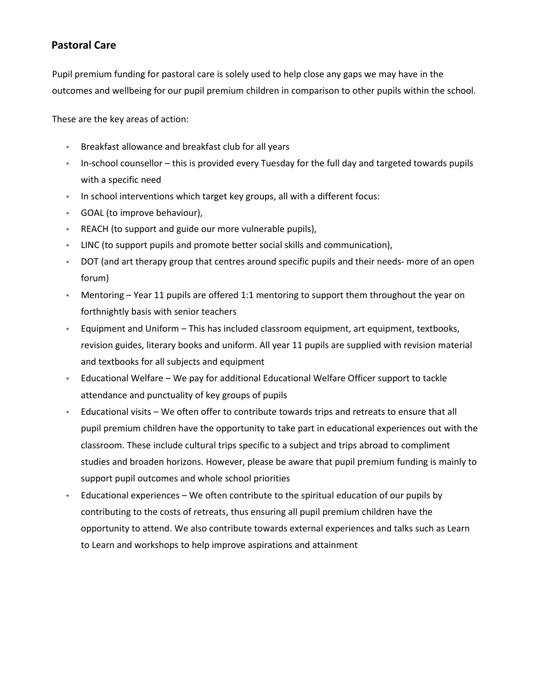### **Pastoral Care**

Pupil premium funding for pastoral care is solely used to help close any gaps we may have in the outcomes and wellbeing for our pupil premium children in comparison to other pupils within the school.

These are the key areas of action:

- Breakfast allowance and breakfast club for all years
- In-school counsellor this is provided every Tuesday for the full day and targeted towards pupils with a specific need
- In school interventions which target key groups, all with a different focus:
- GOAL (to improve behaviour),
- REACH (to support and guide our more vulnerable pupils),
- LINC (to support pupils and promote better social skills and communication),
- DOT (and art therapy group that centres around specific pupils and their needs- more of an open forum)
- Mentoring Year 11 pupils are offered 1:1 mentoring to support them throughout the year on forthnightly basis with senior teachers
- Equipment and Uniform This has included classroom equipment, art equipment, textbooks, revision guides, literary books and uniform. All year 11 pupils are supplied with revision material and textbooks for all subjects and equipment
- Educational Welfare We pay for additional Educational Welfare Officer support to tackle attendance and punctuality of key groups of pupils
- Educational visits We often offer to contribute towards trips and retreats to ensure that all pupil premium children have the opportunity to take part in educational experiences out with the classroom. These include cultural trips specific to a subject and trips abroad to compliment studies and broaden horizons. However, please be aware that pupil premium funding is mainly to support pupil outcomes and whole school priorities
- Educational experiences We often contribute to the spiritual education of our pupils by contributing to the costs of retreats, thus ensuring all pupil premium children have the opportunity to attend. We also contribute towards external experiences and talks such as Learn to Learn and workshops to help improve aspirations and attainment